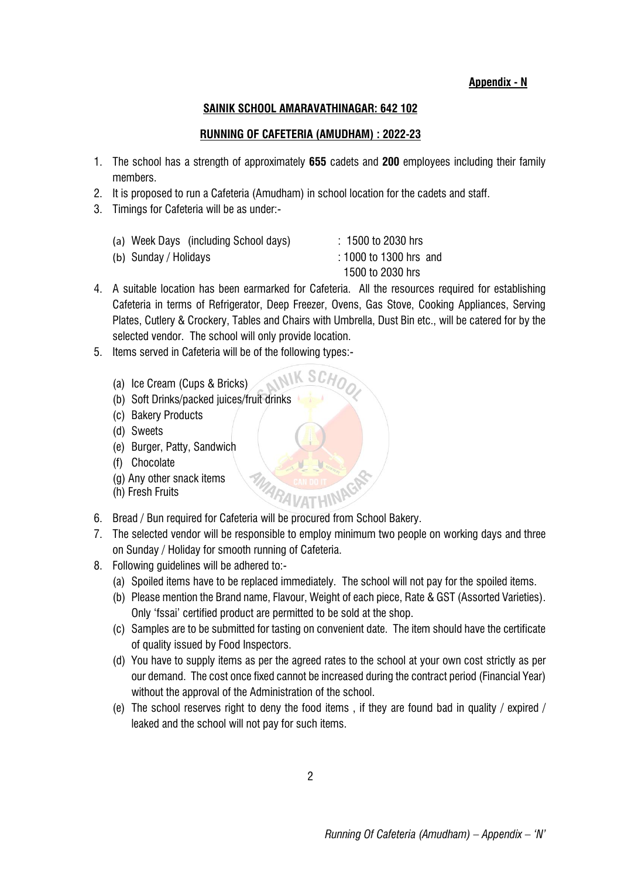**Appendix - N**

## **SAINIK SCHOOL AMARAVATHINAGAR: 642 102**

## **RUNNING OF CAFETERIA (AMUDHAM) : 2022-23**

- 1. The school has a strength of approximately **655** cadets and **200** employees including their family members.
- 2. It is proposed to run a Cafeteria (Amudham) in school location for the cadets and staff.
- 3. Timings for Cafeteria will be as under:-

| (a) Week Days (including School days) | $: 1500$ to 2030 hrs   |
|---------------------------------------|------------------------|
| (b) Sunday / Holidays                 | : 1000 to 1300 hrs and |
|                                       | 1500 to 2030 hrs       |

4. A suitable location has been earmarked for Cafeteria. All the resources required for establishing Cafeteria in terms of Refrigerator, Deep Freezer, Ovens, Gas Stove, Cooking Appliances, Serving Plates, Cutlery & Crockery, Tables and Chairs with Umbrella, Dust Bin etc., will be catered for by the selected vendor. The school will only provide location.

 $N$  SCHO

- 5. Items served in Cafeteria will be of the following types:-
	- (a) Ice Cream (Cups & Bricks)
	- (b) Soft Drinks/packed juices/fruit drinks
	- (c) Bakery Products
	- (d) Sweets
	- (e) Burger, Patty, Sandwich
	- (f) Chocolate
	- (g) Any other snack items
	- (h) Fresh Fruits
- 6. Bread / Bun required for Cafeteria will be procured from School Bakery.
- 7. The selected vendor will be responsible to employ minimum two people on working days and three on Sunday / Holiday for smooth running of Cafeteria.
- 8. Following guidelines will be adhered to:-
	- (a) Spoiled items have to be replaced immediately. The school will not pay for the spoiled items.
	- (b) Please mention the Brand name, Flavour, Weight of each piece, Rate & GST (Assorted Varieties). Only 'fssai' certified product are permitted to be sold at the shop.
	- (c) Samples are to be submitted for tasting on convenient date. The item should have the certificate of quality issued by Food Inspectors.
	- (d) You have to supply items as per the agreed rates to the school at your own cost strictly as per our demand. The cost once fixed cannot be increased during the contract period (Financial Year) without the approval of the Administration of the school.
	- (e) The school reserves right to deny the food items , if they are found bad in quality / expired / leaked and the school will not pay for such items.